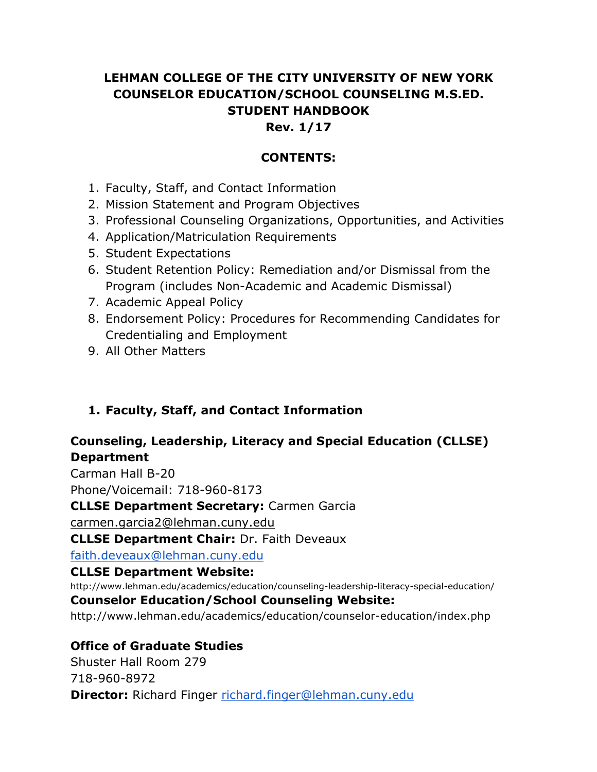# **LEHMAN COLLEGE OF THE CITY UNIVERSITY OF NEW YORK COUNSELOR EDUCATION/SCHOOL COUNSELING M.S.ED. STUDENT HANDBOOK**

#### **Rev. 1/17**

#### **CONTENTS:**

- 1. Faculty, Staff, and Contact Information
- 2. Mission Statement and Program Objectives
- 3. Professional Counseling Organizations, Opportunities, and Activities
- 4. Application/Matriculation Requirements
- 5. Student Expectations
- 6. Student Retention Policy: Remediation and/or Dismissal from the Program (includes Non-Academic and Academic Dismissal)
- 7. Academic Appeal Policy
- 8. Endorsement Policy: Procedures for Recommending Candidates for Credentialing and Employment
- 9. All Other Matters

### **1. Faculty, Staff, and Contact Information**

### **Counseling, Leadership, Literacy and Special Education (CLLSE) Department**

Carman Hall B-20

Phone/Voicemail: 718-960-8173

**CLLSE Department Secretary:** Carmen Garcia

carmen.garcia2@lehman.cuny.edu

**CLLSE Department Chair:** Dr. Faith Deveaux

faith.deveaux@lehman.cuny.edu

#### **CLLSE Department Website:**

http://www.lehman.edu/academics/education/counseling-leadership-literacy-special-education/

#### **Counselor Education/School Counseling Website:**

http://www.lehman.edu/academics/education/counselor-education/index.php

### **Office of Graduate Studies**

Shuster Hall Room 279 718-960-8972 **Director:** Richard Finger richard.finger@lehman.cuny.edu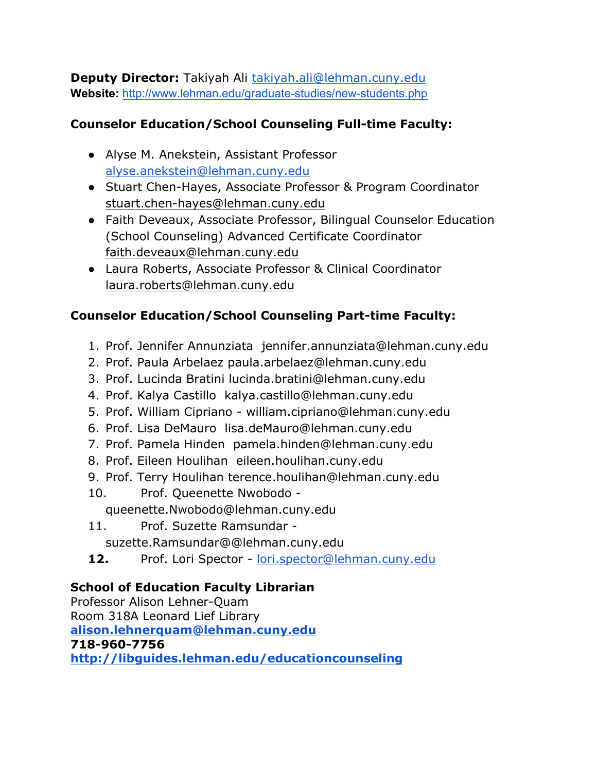**Deputy Director:** Takiyah Ali takiyah.ali@lehman.cuny.edu **Website:** http://www.lehman.edu/graduate-studies/new-students.php

# **Counselor Education/School Counseling Full-time Faculty:**

- Alyse M. Anekstein, Assistant Professor alyse.anekstein@lehman.cuny.edu
- Stuart Chen-Hayes, Associate Professor & Program Coordinator stuart.chen-hayes@lehman.cuny.edu
- Faith Deveaux, Associate Professor, Bilingual Counselor Education (School Counseling) Advanced Certificate Coordinator faith.deveaux@lehman.cuny.edu
- Laura Roberts, Associate Professor & Clinical Coordinator laura.roberts@lehman.cuny.edu

# **Counselor Education/School Counseling Part-time Faculty:**

- 1. Prof. Jennifer Annunziata jennifer.annunziata@lehman.cuny.edu
- 2. Prof. Paula Arbelaez paula.arbelaez@lehman.cuny.edu
- 3. Prof. Lucinda Bratini lucinda.bratini@lehman.cuny.edu
- 4. Prof. Kalya Castillo kalya.castillo@lehman.cuny.edu
- 5. Prof. William Cipriano william.cipriano@lehman.cuny.edu
- 6. Prof. Lisa DeMauro lisa.deMauro@lehman.cuny.edu
- 7. Prof. Pamela Hinden pamela.hinden@lehman.cuny.edu
- 8. Prof. Eileen Houlihan eileen.houlihan.cuny.edu
- 9. Prof. Terry Houlihan terence.houlihan@lehman.cuny.edu
- 10. Prof. Queenette Nwobodo queenette.Nwobodo@lehman.cuny.edu
- 11. Prof. Suzette Ramsundar suzette.Ramsundar@@lehman.cuny.edu
- **12.** Prof. Lori Spector lori.spector@lehman.cuny.edu

## **School of Education Faculty Librarian**

Professor Alison Lehner-Quam Room 318A Leonard Lief Library **alison.lehnerquam@lehman.cuny.edu 718-960-7756 http://libguides.lehman.edu/educationcounseling**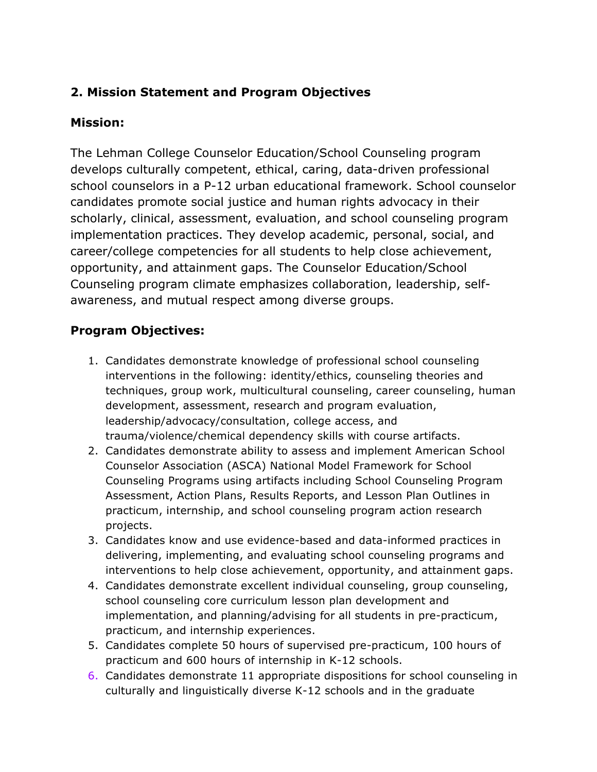## **2. Mission Statement and Program Objectives**

#### **Mission:**

The Lehman College Counselor Education/School Counseling program develops culturally competent, ethical, caring, data-driven professional school counselors in a P-12 urban educational framework. School counselor candidates promote social justice and human rights advocacy in their scholarly, clinical, assessment, evaluation, and school counseling program implementation practices. They develop academic, personal, social, and career/college competencies for all students to help close achievement, opportunity, and attainment gaps. The Counselor Education/School Counseling program climate emphasizes collaboration, leadership, selfawareness, and mutual respect among diverse groups.

#### **Program Objectives:**

- 1. Candidates demonstrate knowledge of professional school counseling interventions in the following: identity/ethics, counseling theories and techniques, group work, multicultural counseling, career counseling, human development, assessment, research and program evaluation, leadership/advocacy/consultation, college access, and trauma/violence/chemical dependency skills with course artifacts.
- 2. Candidates demonstrate ability to assess and implement American School Counselor Association (ASCA) National Model Framework for School Counseling Programs using artifacts including School Counseling Program Assessment, Action Plans, Results Reports, and Lesson Plan Outlines in practicum, internship, and school counseling program action research projects.
- 3. Candidates know and use evidence-based and data-informed practices in delivering, implementing, and evaluating school counseling programs and interventions to help close achievement, opportunity, and attainment gaps.
- 4. Candidates demonstrate excellent individual counseling, group counseling, school counseling core curriculum lesson plan development and implementation, and planning/advising for all students in pre-practicum, practicum, and internship experiences.
- 5. Candidates complete 50 hours of supervised pre-practicum, 100 hours of practicum and 600 hours of internship in K-12 schools.
- 6. Candidates demonstrate 11 appropriate dispositions for school counseling in culturally and linguistically diverse K-12 schools and in the graduate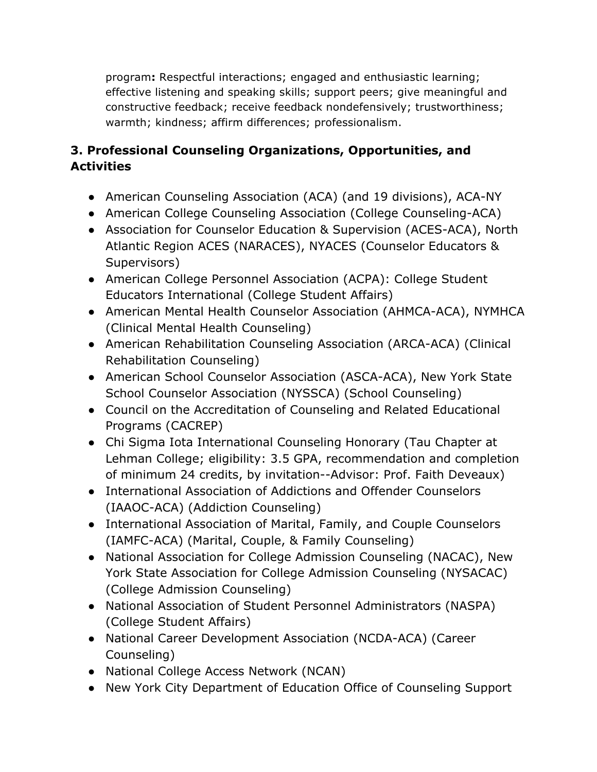program**:** Respectful interactions; engaged and enthusiastic learning; effective listening and speaking skills; support peers; give meaningful and constructive feedback; receive feedback nondefensively; trustworthiness; warmth; kindness; affirm differences; professionalism.

# **3. Professional Counseling Organizations, Opportunities, and Activities**

- American Counseling Association (ACA) (and 19 divisions), ACA-NY
- American College Counseling Association (College Counseling-ACA)
- Association for Counselor Education & Supervision (ACES-ACA), North Atlantic Region ACES (NARACES), NYACES (Counselor Educators & Supervisors)
- American College Personnel Association (ACPA): College Student Educators International (College Student Affairs)
- American Mental Health Counselor Association (AHMCA-ACA), NYMHCA (Clinical Mental Health Counseling)
- American Rehabilitation Counseling Association (ARCA-ACA) (Clinical Rehabilitation Counseling)
- American School Counselor Association (ASCA-ACA), New York State School Counselor Association (NYSSCA) (School Counseling)
- Council on the Accreditation of Counseling and Related Educational Programs (CACREP)
- Chi Sigma Iota International Counseling Honorary (Tau Chapter at Lehman College; eligibility: 3.5 GPA, recommendation and completion of minimum 24 credits, by invitation--Advisor: Prof. Faith Deveaux)
- International Association of Addictions and Offender Counselors (IAAOC-ACA) (Addiction Counseling)
- International Association of Marital, Family, and Couple Counselors (IAMFC-ACA) (Marital, Couple, & Family Counseling)
- National Association for College Admission Counseling (NACAC), New York State Association for College Admission Counseling (NYSACAC) (College Admission Counseling)
- National Association of Student Personnel Administrators (NASPA) (College Student Affairs)
- National Career Development Association (NCDA-ACA) (Career Counseling)
- National College Access Network (NCAN)
- New York City Department of Education Office of Counseling Support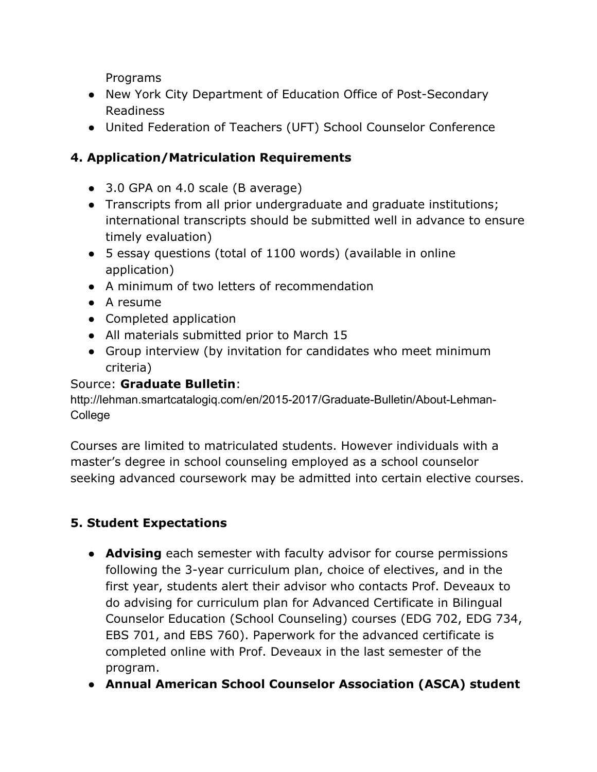Programs

- New York City Department of Education Office of Post-Secondary Readiness
- United Federation of Teachers (UFT) School Counselor Conference

## **4. Application/Matriculation Requirements**

- 3.0 GPA on 4.0 scale (B average)
- Transcripts from all prior undergraduate and graduate institutions; international transcripts should be submitted well in advance to ensure timely evaluation)
- 5 essay questions (total of 1100 words) (available in online application)
- A minimum of two letters of recommendation
- A resume
- Completed application
- All materials submitted prior to March 15
- Group interview (by invitation for candidates who meet minimum criteria)

#### Source: **Graduate Bulletin**:

http://lehman.smartcatalogiq.com/en/2015-2017/Graduate-Bulletin/About-Lehman-College

Courses are limited to matriculated students. However individuals with a master's degree in school counseling employed as a school counselor seeking advanced coursework may be admitted into certain elective courses.

## **5. Student Expectations**

- **Advising** each semester with faculty advisor for course permissions following the 3-year curriculum plan, choice of electives, and in the first year, students alert their advisor who contacts Prof. Deveaux to do advising for curriculum plan for Advanced Certificate in Bilingual Counselor Education (School Counseling) courses (EDG 702, EDG 734, EBS 701, and EBS 760). Paperwork for the advanced certificate is completed online with Prof. Deveaux in the last semester of the program.
- **Annual American School Counselor Association (ASCA) student**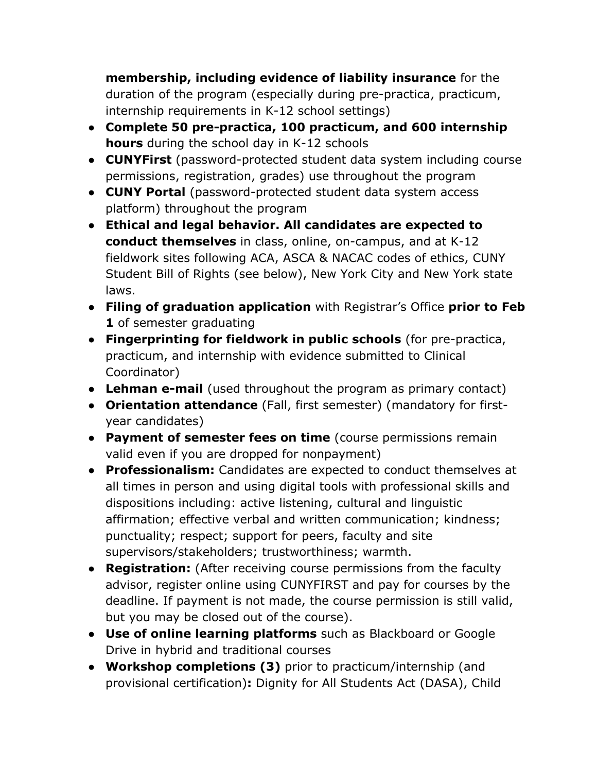**membership, including evidence of liability insurance** for the duration of the program (especially during pre-practica, practicum, internship requirements in K-12 school settings)

- **Complete 50 pre-practica, 100 practicum, and 600 internship hours** during the school day in K-12 schools
- **CUNYFirst** (password-protected student data system including course permissions, registration, grades) use throughout the program
- **CUNY Portal** (password-protected student data system access platform) throughout the program
- **Ethical and legal behavior. All candidates are expected to conduct themselves** in class, online, on-campus, and at K-12 fieldwork sites following ACA, ASCA & NACAC codes of ethics, CUNY Student Bill of Rights (see below), New York City and New York state laws.
- **Filing of graduation application** with Registrar's Office **prior to Feb 1** of semester graduating
- **Fingerprinting for fieldwork in public schools** (for pre-practica, practicum, and internship with evidence submitted to Clinical Coordinator)
- **Lehman e-mail** (used throughout the program as primary contact)
- **Orientation attendance** (Fall, first semester) (mandatory for firstyear candidates)
- **Payment of semester fees on time** (course permissions remain valid even if you are dropped for nonpayment)
- **Professionalism:** Candidates are expected to conduct themselves at all times in person and using digital tools with professional skills and dispositions including: active listening, cultural and linguistic affirmation; effective verbal and written communication; kindness; punctuality; respect; support for peers, faculty and site supervisors/stakeholders; trustworthiness; warmth.
- **Registration:** (After receiving course permissions from the faculty advisor, register online using CUNYFIRST and pay for courses by the deadline. If payment is not made, the course permission is still valid, but you may be closed out of the course).
- **Use of online learning platforms** such as Blackboard or Google Drive in hybrid and traditional courses
- **Workshop completions (3)** prior to practicum/internship (and provisional certification)**:** Dignity for All Students Act (DASA), Child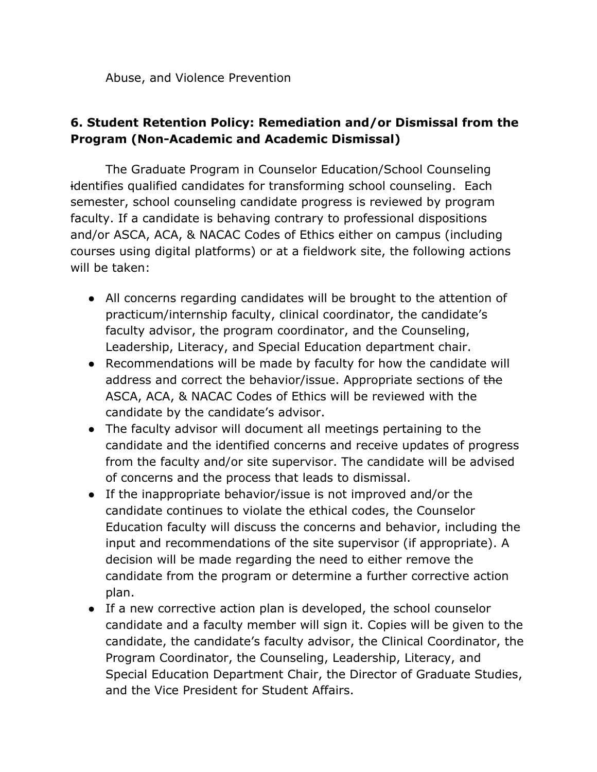Abuse, and Violence Prevention

### **6. Student Retention Policy: Remediation and/or Dismissal from the Program (Non-Academic and Academic Dismissal)**

The Graduate Program in Counselor Education/School Counseling identifies qualified candidates for transforming school counseling. Each semester, school counseling candidate progress is reviewed by program faculty. If a candidate is behaving contrary to professional dispositions and/or ASCA, ACA, & NACAC Codes of Ethics either on campus (including courses using digital platforms) or at a fieldwork site, the following actions will be taken:

- All concerns regarding candidates will be brought to the attention of practicum/internship faculty, clinical coordinator, the candidate's faculty advisor, the program coordinator, and the Counseling, Leadership, Literacy, and Special Education department chair.
- Recommendations will be made by faculty for how the candidate will address and correct the behavior/issue. Appropriate sections of the ASCA, ACA, & NACAC Codes of Ethics will be reviewed with the candidate by the candidate's advisor.
- The faculty advisor will document all meetings pertaining to the candidate and the identified concerns and receive updates of progress from the faculty and/or site supervisor. The candidate will be advised of concerns and the process that leads to dismissal.
- If the inappropriate behavior/issue is not improved and/or the candidate continues to violate the ethical codes, the Counselor Education faculty will discuss the concerns and behavior, including the input and recommendations of the site supervisor (if appropriate). A decision will be made regarding the need to either remove the candidate from the program or determine a further corrective action plan.
- If a new corrective action plan is developed, the school counselor candidate and a faculty member will sign it. Copies will be given to the candidate, the candidate's faculty advisor, the Clinical Coordinator, the Program Coordinator, the Counseling, Leadership, Literacy, and Special Education Department Chair, the Director of Graduate Studies, and the Vice President for Student Affairs.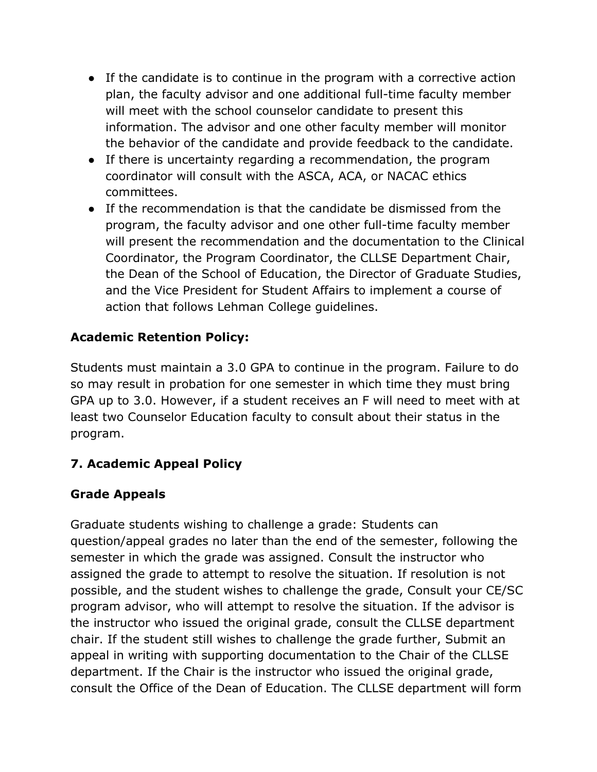- If the candidate is to continue in the program with a corrective action plan, the faculty advisor and one additional full-time faculty member will meet with the school counselor candidate to present this information. The advisor and one other faculty member will monitor the behavior of the candidate and provide feedback to the candidate.
- If there is uncertainty regarding a recommendation, the program coordinator will consult with the ASCA, ACA, or NACAC ethics committees.
- If the recommendation is that the candidate be dismissed from the program, the faculty advisor and one other full-time faculty member will present the recommendation and the documentation to the Clinical Coordinator, the Program Coordinator, the CLLSE Department Chair, the Dean of the School of Education, the Director of Graduate Studies, and the Vice President for Student Affairs to implement a course of action that follows Lehman College guidelines.

### **Academic Retention Policy:**

Students must maintain a 3.0 GPA to continue in the program. Failure to do so may result in probation for one semester in which time they must bring GPA up to 3.0. However, if a student receives an F will need to meet with at least two Counselor Education faculty to consult about their status in the program.

### **7. Academic Appeal Policy**

### **Grade Appeals**

Graduate students wishing to challenge a grade: Students can question/appeal grades no later than the end of the semester, following the semester in which the grade was assigned. Consult the instructor who assigned the grade to attempt to resolve the situation. If resolution is not possible, and the student wishes to challenge the grade, Consult your CE/SC program advisor, who will attempt to resolve the situation. If the advisor is the instructor who issued the original grade, consult the CLLSE department chair. If the student still wishes to challenge the grade further, Submit an appeal in writing with supporting documentation to the Chair of the CLLSE department. If the Chair is the instructor who issued the original grade, consult the Office of the Dean of Education. The CLLSE department will form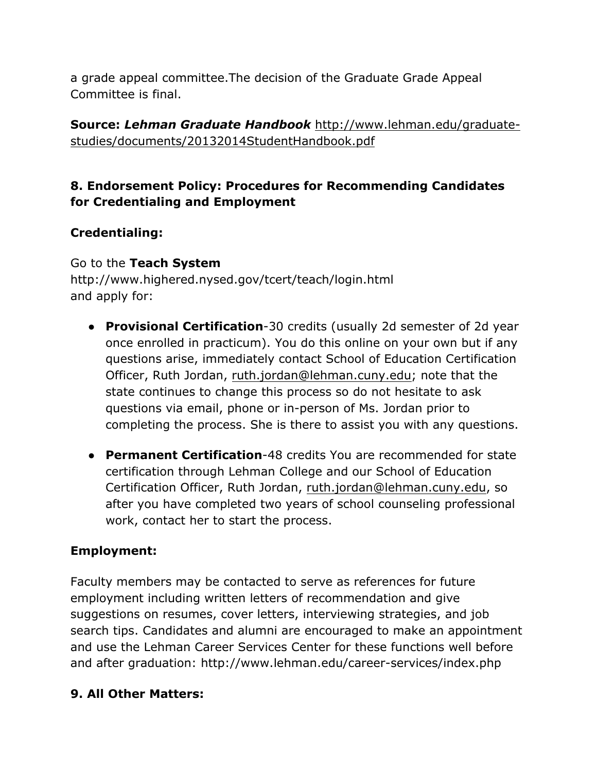a grade appeal committee.The decision of the Graduate Grade Appeal Committee is final.

**Source:** *Lehman Graduate Handbook* http://www.lehman.edu/graduatestudies/documents/20132014StudentHandbook.pdf

### **8. Endorsement Policy: Procedures for Recommending Candidates for Credentialing and Employment**

## **Credentialing:**

### Go to the **Teach System**

http://www.highered.nysed.gov/tcert/teach/login.html and apply for:

- **Provisional Certification**-30 credits (usually 2d semester of 2d year once enrolled in practicum). You do this online on your own but if any questions arise, immediately contact School of Education Certification Officer, Ruth Jordan, ruth.jordan@lehman.cuny.edu; note that the state continues to change this process so do not hesitate to ask questions via email, phone or in-person of Ms. Jordan prior to completing the process. She is there to assist you with any questions.
- **Permanent Certification**-48 credits You are recommended for state certification through Lehman College and our School of Education Certification Officer, Ruth Jordan, ruth.jordan@lehman.cuny.edu, so after you have completed two years of school counseling professional work, contact her to start the process.

## **Employment:**

Faculty members may be contacted to serve as references for future employment including written letters of recommendation and give suggestions on resumes, cover letters, interviewing strategies, and job search tips. Candidates and alumni are encouraged to make an appointment and use the Lehman Career Services Center for these functions well before and after graduation: http://www.lehman.edu/career-services/index.php

### **9. All Other Matters:**